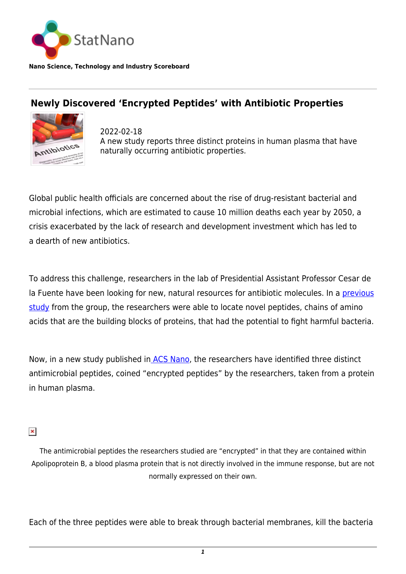

**Nano Science, Technology and Industry Scoreboard**

## **Newly Discovered 'Encrypted Peptides' with Antibiotic Properties**



2022-02-18 A new study reports three distinct proteins in human plasma that have naturally occurring antibiotic properties.

Global public health officials are concerned about the rise of drug-resistant bacterial and microbial infections, which are estimated to cause 10 million deaths each year by 2050, a crisis exacerbated by the lack of research and development investment which has led to a dearth of new antibiotics.

To address this challenge, researchers in the lab of Presidential Assistant Professor Cesar de la Fuente have been looking for new, natural resources for antibiotic molecules. In a [previous](https://blog.seas.upenn.edu/penn-researchers-show-encrypted-peptides-could-be-wellspring-of-natural-antibiotics/) [study](https://blog.seas.upenn.edu/penn-researchers-show-encrypted-peptides-could-be-wellspring-of-natural-antibiotics/) from the group, the researchers were able to locate novel peptides, chains of amino acids that are the building blocks of proteins, that had the potential to fight harmful bacteria.

Now, in a new study published i[n ACS Nano,](https://pubs.acs.org/doi/10.1021/acsnano.1c04496) the researchers have identified three distinct antimicrobial peptides, coined "encrypted peptides" by the researchers, taken from a protein in human plasma.

## $\pmb{\times}$

The antimicrobial peptides the researchers studied are "encrypted" in that they are contained within Apolipoprotein B, a blood plasma protein that is not directly involved in the immune response, but are not normally expressed on their own.

Each of the three peptides were able to break through bacterial membranes, kill the bacteria